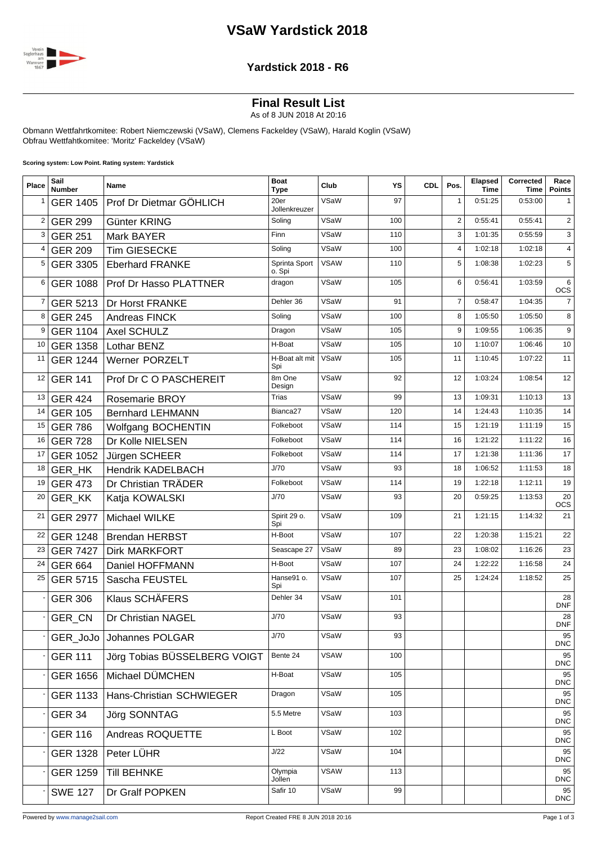## **VSaW Yardstick 2018**



#### **Yardstick 2018 - R6**

# **Final Result List**

As of 8 JUN 2018 At 20:16

Obmann Wettfahrtkomitee: Robert Niemczewski (VSaW), Clemens Fackeldey (VSaW), Harald Koglin (VSaW) Obfrau Wettfahtkomitee: 'Moritz' Fackeldey (VSaW)

**Scoring system: Low Point. Rating system: Yardstick**

| Place          | Sail<br><b>Number</b> | <b>Name</b>                   | <b>Boat</b><br><b>Type</b> | Club        | YS  | <b>CDL</b> | Pos.           | Elapsed<br><b>Time</b> | Corrected<br>Time | Race<br><b>Points</b>   |
|----------------|-----------------------|-------------------------------|----------------------------|-------------|-----|------------|----------------|------------------------|-------------------|-------------------------|
| 1              | <b>GER 1405</b>       | Prof Dr Dietmar GÖHLICH       | 20er<br>Jollenkreuzer      | VSaW        | 97  |            | $\mathbf{1}$   | 0:51:25                | 0:53:00           | 1                       |
| $\overline{2}$ | <b>GER 299</b>        | Günter KRING                  | Soling                     | VSaW        | 100 |            | $\overline{2}$ | 0:55:41                | 0:55:41           | $\overline{\mathbf{c}}$ |
| 3              | <b>GER 251</b>        | Mark BAYER                    | Finn                       | VSaW        | 110 |            | 3              | 1:01:35                | 0:55:59           | 3                       |
| 4              | <b>GER 209</b>        | <b>Tim GIESECKE</b>           | Soling                     | VSaW        | 100 |            | 4              | 1:02:18                | 1:02:18           | $\overline{4}$          |
| 5              | <b>GER 3305</b>       | <b>Eberhard FRANKE</b>        | Sprinta Sport<br>o. Spi    | <b>VSAW</b> | 110 |            | 5              | 1:08:38                | 1:02:23           | 5                       |
| 6              | <b>GER 1088</b>       | <b>Prof Dr Hasso PLATTNER</b> | dragon                     | VSaW        | 105 |            | 6              | 0:56:41                | 1:03:59           | 6<br><b>OCS</b>         |
| $\overline{7}$ | GER 5213              | <b>Dr Horst FRANKE</b>        | Dehler 36                  | VSaW        | 91  |            | $\overline{7}$ | 0:58:47                | 1:04:35           | $\overline{7}$          |
| 8              | <b>GER 245</b>        | Andreas FINCK                 | Soling                     | VSaW        | 100 |            | 8              | 1:05:50                | 1:05:50           | 8                       |
| 9              | <b>GER 1104</b>       | <b>Axel SCHULZ</b>            | Dragon                     | VSaW        | 105 |            | 9              | 1:09:55                | 1:06:35           | 9                       |
| 10             | <b>GER 1358</b>       | Lothar BENZ                   | H-Boat                     | VSaW        | 105 |            | 10             | 1:10:07                | 1:06:46           | 10                      |
| 11             | <b>GER 1244</b>       | <b>Werner PORZELT</b>         | H-Boat alt mit<br>Spi      | VSaW        | 105 |            | 11             | 1:10:45                | 1:07:22           | 11                      |
| 12             | <b>GER 141</b>        | Prof Dr C O PASCHEREIT        | 8m One<br>Design           | VSaW        | 92  |            | 12             | 1:03:24                | 1:08:54           | 12                      |
| 13             | <b>GER 424</b>        | <b>Rosemarie BROY</b>         | <b>Trias</b>               | VSaW        | 99  |            | 13             | 1:09:31                | 1:10:13           | 13                      |
| 14             | <b>GER 105</b>        | <b>Bernhard LEHMANN</b>       | Bianca <sub>27</sub>       | VSaW        | 120 |            | 14             | 1:24:43                | 1:10:35           | 14                      |
| 15             | <b>GER 786</b>        | Wolfgang BOCHENTIN            | Folkeboot                  | VSaW        | 114 |            | 15             | 1:21:19                | 1:11:19           | 15                      |
| 16             | <b>GER 728</b>        | Dr Kolle NIELSEN              | Folkeboot                  | VSaW        | 114 |            | 16             | 1:21:22                | 1:11:22           | 16                      |
| 17             | <b>GER 1052</b>       | Jürgen SCHEER                 | Folkeboot                  | VSaW        | 114 |            | 17             | 1:21:38                | 1:11:36           | 17                      |
| 18             | GER_HK                | <b>Hendrik KADELBACH</b>      | J/70                       | VSaW        | 93  |            | 18             | 1:06:52                | 1:11:53           | 18                      |
| 19             | <b>GER 473</b>        | Dr Christian TRÄDER           | Folkeboot                  | VSaW        | 114 |            | 19             | 1:22:18                | 1:12:11           | 19                      |
| 20             | GER_KK                | Katja KOWALSKI                | J/70                       | VSaW        | 93  |            | 20             | 0:59:25                | 1:13:53           | 20<br><b>OCS</b>        |
| 21             | <b>GER 2977</b>       | Michael WILKE                 | Spirit 29 o.<br>Spi        | VSaW        | 109 |            | 21             | 1:21:15                | 1:14:32           | 21                      |
| 22             | <b>GER 1248</b>       | <b>Brendan HERBST</b>         | H-Boot                     | VSaW        | 107 |            | 22             | 1:20:38                | 1:15:21           | 22                      |
| 23             | <b>GER 7427</b>       | <b>Dirk MARKFORT</b>          | Seascape 27                | VSaW        | 89  |            | 23             | 1:08:02                | 1:16:26           | 23                      |
| 24             | <b>GER 664</b>        | Daniel HOFFMANN               | H-Boot                     | VSaW        | 107 |            | 24             | 1:22:22                | 1:16:58           | 24                      |
| 25             | <b>GER 5715</b>       | Sascha FEUSTEL                | Hanse91 o.<br>Spi          | VSaW        | 107 |            | 25             | 1:24:24                | 1:18:52           | 25                      |
|                | <b>GER 306</b>        | <b>Klaus SCHÄFERS</b>         | Dehler 34                  | VSaW        | 101 |            |                |                        |                   | 28<br><b>DNF</b>        |
|                | <b>GER CN</b>         | Dr Christian NAGEL            | J/70                       | VSaW        | 93  |            |                |                        |                   | 28<br><b>DNF</b>        |
|                | GER JoJo              | Johannes POLGAR               | J/70                       | VSaW        | 93  |            |                |                        |                   | 95<br><b>DNC</b>        |
|                | <b>GER 111</b>        | Jörg Tobias BÜSSELBERG VOIGT  | Bente 24                   | <b>VSAW</b> | 100 |            |                |                        |                   | 95<br><b>DNC</b>        |
|                | <b>GER 1656</b>       | Michael DÜMCHEN               | H-Boat                     | VSaW        | 105 |            |                |                        |                   | 95<br><b>DNC</b>        |
|                | <b>GER 1133</b>       | Hans-Christian SCHWIEGER      | Dragon                     | VSaW        | 105 |            |                |                        |                   | 95<br><b>DNC</b>        |
|                | <b>GER 34</b>         | Jörg SONNTAG                  | 5.5 Metre                  | VSaW        | 103 |            |                |                        |                   | 95<br><b>DNC</b>        |
|                | <b>GER 116</b>        | Andreas ROQUETTE              | L Boot                     | VSaW        | 102 |            |                |                        |                   | 95<br><b>DNC</b>        |
|                | <b>GER 1328</b>       | Peter LÜHR                    | J/22                       | VSaW        | 104 |            |                |                        |                   | 95<br><b>DNC</b>        |
|                | <b>GER 1259</b>       | <b>Till BEHNKE</b>            | Olympia<br>Jollen          | <b>VSAW</b> | 113 |            |                |                        |                   | 95<br>DNC               |
|                | <b>SWE 127</b>        | Dr Gralf POPKEN               | Safir 10                   | VSaW        | 99  |            |                |                        |                   | 95<br>DNC               |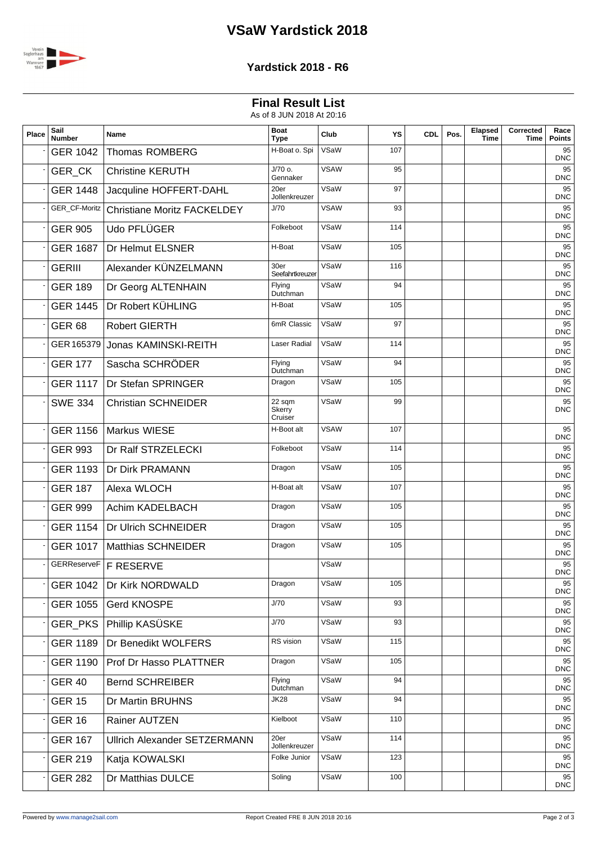# **VSaW Yardstick 2018**



### **Yardstick 2018 - R6**

## **Final Result List**

As of 8 JUN 2018 At 20:16

| Place | Sail<br><b>Number</b> | Name                                | <b>Boat</b><br><b>Type</b>  | Club        | YS  | <b>CDL</b> | Pos. | Elapsed<br>Time | Corrected<br>Time | Race<br><b>Points</b> |
|-------|-----------------------|-------------------------------------|-----------------------------|-------------|-----|------------|------|-----------------|-------------------|-----------------------|
|       | <b>GER 1042</b>       | <b>Thomas ROMBERG</b>               | H-Boat o. Spi               | VSaW        | 107 |            |      |                 |                   | 95<br><b>DNC</b>      |
|       | GER_CK                | <b>Christine KERUTH</b>             | $J/70$ o.<br>Gennaker       | <b>VSAW</b> | 95  |            |      |                 |                   | 95<br><b>DNC</b>      |
|       | <b>GER 1448</b>       | Jacquline HOFFERT-DAHL              | 20er<br>Jollenkreuzer       | VSaW        | 97  |            |      |                 |                   | 95<br>DNC             |
|       | GER_CF-Moritz         | <b>Christiane Moritz FACKELDEY</b>  | J/70                        | <b>VSAW</b> | 93  |            |      |                 |                   | 95<br><b>DNC</b>      |
|       | <b>GER 905</b>        | Udo PFLÜGER                         | Folkeboot                   | VSaW        | 114 |            |      |                 |                   | 95<br><b>DNC</b>      |
|       | <b>GER 1687</b>       | Dr Helmut ELSNER                    | H-Boat                      | VSaW        | 105 |            |      |                 |                   | 95<br><b>DNC</b>      |
|       | <b>GERIII</b>         | Alexander KÜNZELMANN                | 30er<br>Seefahrtkreuzer     | VSaW        | 116 |            |      |                 |                   | 95<br><b>DNC</b>      |
|       | <b>GER 189</b>        | Dr Georg ALTENHAIN                  | Flying<br>Dutchman          | VSaW        | 94  |            |      |                 |                   | 95<br>DNC             |
|       | <b>GER 1445</b>       | Dr Robert KÜHLING                   | H-Boat                      | VSaW        | 105 |            |      |                 |                   | 95<br><b>DNC</b>      |
|       | <b>GER 68</b>         | <b>Robert GIERTH</b>                | 6mR Classic                 | VSaW        | 97  |            |      |                 |                   | 95<br>DNC             |
|       |                       | GER 165379 Jonas KAMINSKI-REITH     | Laser Radial                | VSaW        | 114 |            |      |                 |                   | 95<br><b>DNC</b>      |
|       | <b>GER 177</b>        | Sascha SCHRÖDER                     | Flying<br>Dutchman          | VSaW        | 94  |            |      |                 |                   | 95<br><b>DNC</b>      |
|       | <b>GER 1117</b>       | Dr Stefan SPRINGER                  | Dragon                      | VSaW        | 105 |            |      |                 |                   | 95<br><b>DNC</b>      |
|       | <b>SWE 334</b>        | <b>Christian SCHNEIDER</b>          | 22 sqm<br>Skerry<br>Cruiser | VSaW        | 99  |            |      |                 |                   | 95<br><b>DNC</b>      |
|       | <b>GER 1156</b>       | Markus WIESE                        | H-Boot alt                  | <b>VSAW</b> | 107 |            |      |                 |                   | 95<br><b>DNC</b>      |
|       | <b>GER 993</b>        | Dr Ralf STRZELECKI                  | Folkeboot                   | VSaW        | 114 |            |      |                 |                   | 95<br><b>DNC</b>      |
|       | <b>GER 1193</b>       | Dr Dirk PRAMANN                     | Dragon                      | VSaW        | 105 |            |      |                 |                   | 95<br><b>DNC</b>      |
|       | <b>GER 187</b>        | Alexa WLOCH                         | H-Boat alt                  | VSaW        | 107 |            |      |                 |                   | 95<br>DNC             |
|       | <b>GER 999</b>        | Achim KADELBACH                     | Dragon                      | VSaW        | 105 |            |      |                 |                   | 95<br><b>DNC</b>      |
|       | <b>GER 1154</b>       | Dr Ulrich SCHNEIDER                 | Dragon                      | VSaW        | 105 |            |      |                 |                   | 95<br>DNC             |
|       | <b>GER 1017</b>       | <b>Matthias SCHNEIDER</b>           | Dragon                      | VSaW        | 105 |            |      |                 |                   | 95<br><b>DNC</b>      |
|       |                       | GERReserveF   F RESERVE             |                             | VSaW        |     |            |      |                 |                   | 95<br><b>DNC</b>      |
|       | <b>GER 1042</b>       | Dr Kirk NORDWALD                    | Dragon                      | VSaW        | 105 |            |      |                 |                   | 95<br><b>DNC</b>      |
|       | <b>GER 1055</b>       | <b>Gerd KNOSPE</b>                  | J/70                        | VSaW        | 93  |            |      |                 |                   | 95<br><b>DNC</b>      |
|       |                       | GER_PKS   Phillip KASÜSKE           | J/70                        | VSaW        | 93  |            |      |                 |                   | 95<br>DNC             |
|       | <b>GER 1189</b>       | Dr Benedikt WOLFERS                 | RS vision                   | VSaW        | 115 |            |      |                 |                   | 95<br>DNC             |
|       | <b>GER 1190</b>       | Prof Dr Hasso PLATTNER              | Dragon                      | VSaW        | 105 |            |      |                 |                   | 95<br>DNC             |
|       | <b>GER 40</b>         | <b>Bernd SCHREIBER</b>              | Flying<br>Dutchman          | VSaW        | 94  |            |      |                 |                   | 95<br><b>DNC</b>      |
|       | <b>GER 15</b>         | Dr Martin BRUHNS                    | JK28                        | VSaW        | 94  |            |      |                 |                   | 95<br>DNC             |
|       | <b>GER 16</b>         | Rainer AUTZEN                       | Kielboot                    | VSaW        | 110 |            |      |                 |                   | 95<br><b>DNC</b>      |
|       | <b>GER 167</b>        | <b>Ullrich Alexander SETZERMANN</b> | 20er<br>Jollenkreuzer       | VSaW        | 114 |            |      |                 |                   | 95<br><b>DNC</b>      |
|       | <b>GER 219</b>        | Katja KOWALSKI                      | Folke Junior                | VSaW        | 123 |            |      |                 |                   | 95<br>DNC             |
|       | <b>GER 282</b>        | Dr Matthias DULCE                   | Soling                      | VSaW        | 100 |            |      |                 |                   | 95<br><b>DNC</b>      |